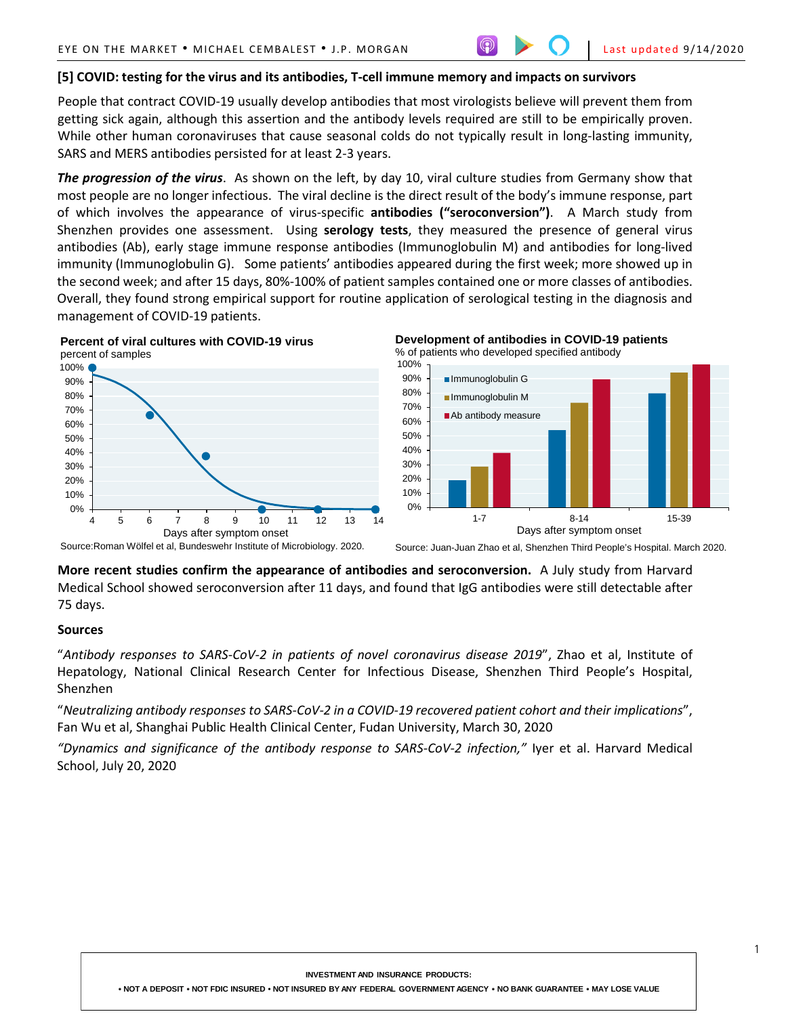### **[5] COVID: testing for the virus and its antibodies, T-cell immune memory and impacts on survivors**

People that contract COVID-19 usually develop antibodies that most virologists believe will prevent them from getting sick again, although this assertion and the antibody levels required are still to be empirically proven. While other human coronaviruses that cause seasonal colds do not typically result in long-lasting immunity, SARS and MERS antibodies persisted for at least 2-3 years.

*The progression of the virus*. As shown on the left, by day 10, viral culture studies from Germany show that most people are no longer infectious. The viral decline is the direct result of the body's immune response, part of which involves the appearance of virus-specific **antibodies ("seroconversion")**. A March study from Shenzhen provides one assessment. Using **serology tests**, they measured the presence of general virus antibodies (Ab), early stage immune response antibodies (Immunoglobulin M) and antibodies for long-lived immunity (Immunoglobulin G). Some patients' antibodies appeared during the first week; more showed up in the second week; and after 15 days, 80%-100% of patient samples contained one or more classes of antibodies. Overall, they found strong empirical support for routine application of serological testing in the diagnosis and management of COVID-19 patients.



**More recent studies confirm the appearance of antibodies and seroconversion.** A July study from Harvard Medical School showed seroconversion after 11 days, and found that IgG antibodies were still detectable after 75 days.

#### **Sources**

"*Antibody responses to SARS-CoV-2 in patients of novel coronavirus disease 2019*", Zhao et al, Institute of Hepatology, National Clinical Research Center for Infectious Disease, Shenzhen Third People's Hospital, Shenzhen

"*Neutralizing antibody responses to SARS-CoV-2 in a COVID-19 recovered patient cohort and their implications*", Fan Wu et al, Shanghai Public Health Clinical Center, Fudan University, March 30, 2020

*"Dynamics and significance of the antibody response to SARS-CoV-2 infection,"* Iyer et al. Harvard Medical School, July 20, 2020

**INVESTMENT AND INSURANCE PRODUCTS:**

• **NOT A DEPOSIT** • **NOT FDIC INSURED • NOT INSURED BY ANY FEDERAL GOVERNMENT AGENCY** • **NO BANK GUARANTEE** • **MAY LOSE VALUE**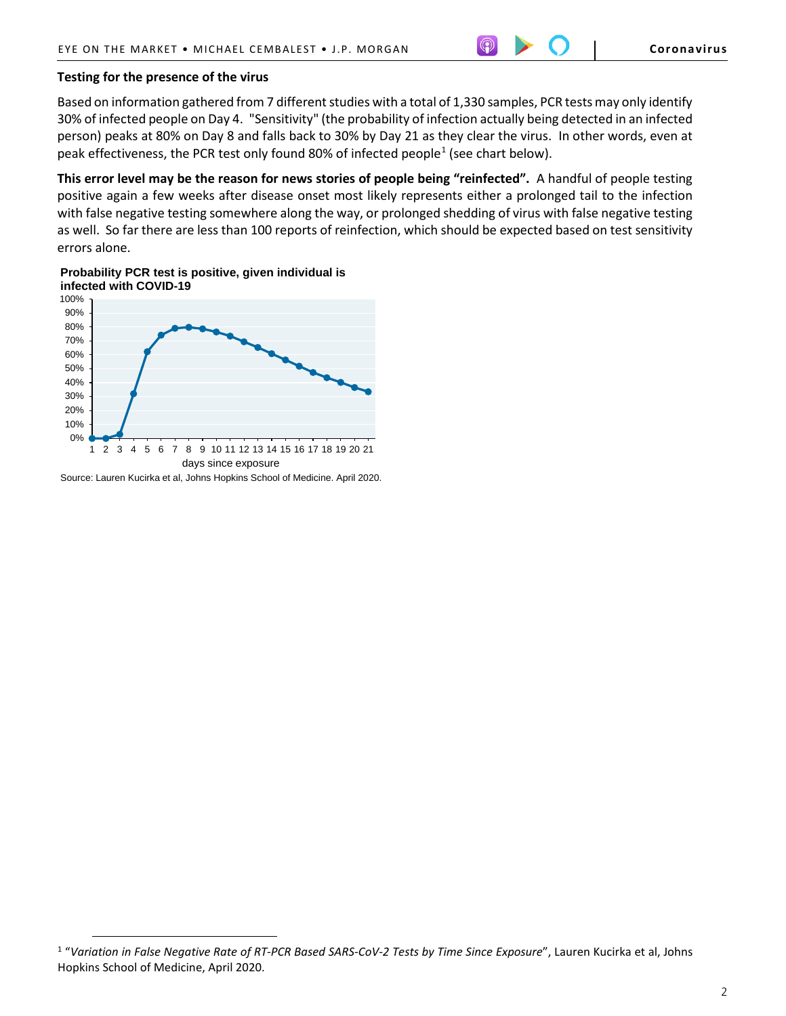# **Testing for the presence of the virus**

Based on information gathered from 7 different studies with a total of 1,330 samples, PCR tests may only identify 30% of infected people on Day 4. "Sensitivity" (the probability of infection actually being detected in an infected person) peaks at 80% on Day 8 and falls back to 30% by Day 21 as they clear the virus. In other words, even at peak effectiveness, the PCR test only found 80% of infected people<sup>[1](#page-1-0)</sup> (see chart below).

**This error level may be the reason for news stories of people being "reinfected".** A handful of people testing positive again a few weeks after disease onset most likely represents either a prolonged tail to the infection with false negative testing somewhere along the way, or prolonged shedding of virus with false negative testing as well. So far there are less than 100 reports of reinfection, which should be expected based on test sensitivity errors alone.

# **Probability PCR test is positive, given individual is infected with COVID-19**



Source: Lauren Kucirka et al, Johns Hopkins School of Medicine. April 2020.

 $\overline{a}$ 

<span id="page-1-0"></span><sup>1</sup> "*Variation in False Negative Rate of RT-PCR Based SARS-CoV-2 Tests by Time Since Exposure*", Lauren Kucirka et al, Johns Hopkins School of Medicine, April 2020.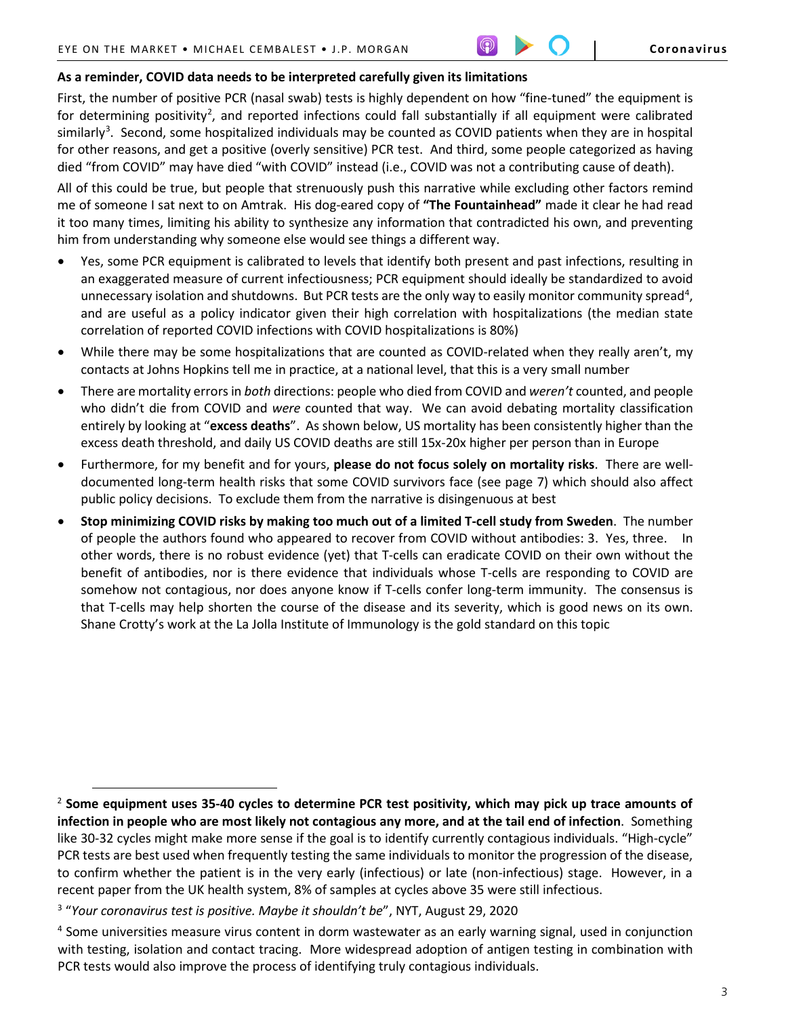# **As a reminder, COVID data needs to be interpreted carefully given its limitations**

First, the number of positive PCR (nasal swab) tests is highly dependent on how "fine-tuned" the equipment is for determining positivity<sup>[2](#page-2-0)</sup>, and reported infections could fall substantially if all equipment were calibrated similarly<sup>3</sup>. Second, some hospitalized individuals may be counted as COVID patients when they are in hospital for other reasons, and get a positive (overly sensitive) PCR test. And third, some people categorized as having died "from COVID" may have died "with COVID" instead (i.e., COVID was not a contributing cause of death).

All of this could be true, but people that strenuously push this narrative while excluding other factors remind me of someone I sat next to on Amtrak. His dog-eared copy of **"The Fountainhead"** made it clear he had read it too many times, limiting his ability to synthesize any information that contradicted his own, and preventing him from understanding why someone else would see things a different way.

- Yes, some PCR equipment is calibrated to levels that identify both present and past infections, resulting in an exaggerated measure of current infectiousness; PCR equipment should ideally be standardized to avoid unnecessary isolation and shutdowns. But PCR tests are the only way to easily monitor community spread<sup>[4](#page-2-2)</sup>, and are useful as a policy indicator given their high correlation with hospitalizations (the median state correlation of reported COVID infections with COVID hospitalizations is 80%)
- While there may be some hospitalizations that are counted as COVID-related when they really aren't, my contacts at Johns Hopkins tell me in practice, at a national level, that this is a very small number
- There are mortality errors in *both* directions: people who died from COVID and *weren't* counted, and people who didn't die from COVID and *were* counted that way. We can avoid debating mortality classification entirely by looking at "**excess deaths**". As shown below, US mortality has been consistently higher than the excess death threshold, and daily US COVID deaths are still 15x-20x higher per person than in Europe
- Furthermore, for my benefit and for yours, **please do not focus solely on mortality risks**. There are welldocumented long-term health risks that some COVID survivors face (see page 7) which should also affect public policy decisions. To exclude them from the narrative is disingenuous at best
- **Stop minimizing COVID risks by making too much out of a limited T-cell study from Sweden**. The number of people the authors found who appeared to recover from COVID without antibodies: 3. Yes, three. In other words, there is no robust evidence (yet) that T-cells can eradicate COVID on their own without the benefit of antibodies, nor is there evidence that individuals whose T-cells are responding to COVID are somehow not contagious, nor does anyone know if T-cells confer long-term immunity. The consensus is that T-cells may help shorten the course of the disease and its severity, which is good news on its own. Shane Crotty's work at the La Jolla Institute of Immunology is the gold standard on this topic

 $\overline{a}$ 

<span id="page-2-0"></span><sup>2</sup> **Some equipment uses 35-40 cycles to determine PCR test positivity, which may pick up trace amounts of infection in people who are most likely not contagious any more, and at the tail end of infection**. Something like 30-32 cycles might make more sense if the goal is to identify currently contagious individuals. "High-cycle" PCR tests are best used when frequently testing the same individuals to monitor the progression of the disease, to confirm whether the patient is in the very early (infectious) or late (non-infectious) stage. However, in a recent paper from the UK health system, 8% of samples at cycles above 35 were still infectious.

<span id="page-2-1"></span><sup>3</sup> "*Your coronavirus test is positive. Maybe it shouldn't be*", NYT, August 29, 2020

<span id="page-2-2"></span><sup>&</sup>lt;sup>4</sup> Some universities measure virus content in dorm wastewater as an early warning signal, used in conjunction with testing, isolation and contact tracing. More widespread adoption of antigen testing in combination with PCR tests would also improve the process of identifying truly contagious individuals.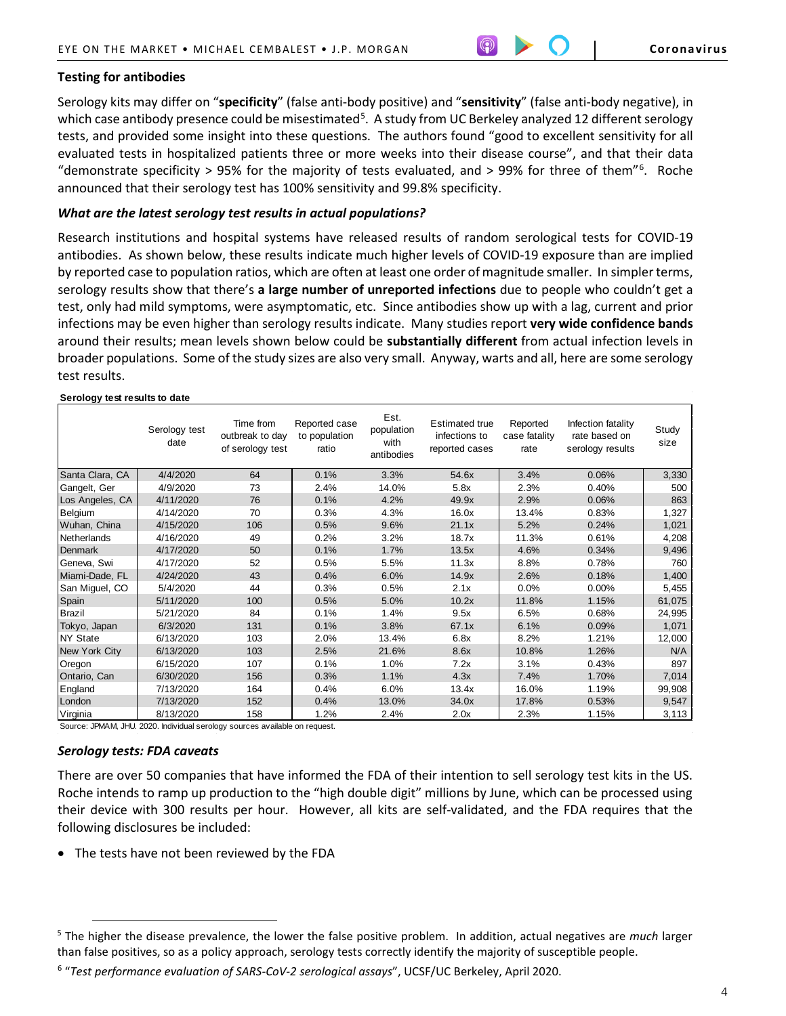# **Testing for antibodies**

Serology kits may differ on "**specificity**" (false anti-body positive) and "**sensitivity**" (false anti-body negative), in which case antibody presence could be misestimated<sup>[5](#page-3-0)</sup>. A study from UC Berkeley analyzed 12 different serology tests, and provided some insight into these questions. The authors found "good to excellent sensitivity for all evaluated tests in hospitalized patients three or more weeks into their disease course", and that their data "demonstrate specificity > 95% for the majority of tests evaluated, and > 99% for three of them"[6](#page-3-1) . Roche announced that their serology test has 100% sensitivity and 99.8% specificity.

## *What are the latest serology test results in actual populations?*

Research institutions and hospital systems have released results of random serological tests for COVID-19 antibodies. As shown below, these results indicate much higher levels of COVID-19 exposure than are implied by reported case to population ratios, which are often at least one order of magnitude smaller. In simpler terms, serology results show that there's **a large number of unreported infections** due to people who couldn't get a test, only had mild symptoms, were asymptomatic, etc. Since antibodies show up with a lag, current and prior infections may be even higher than serology results indicate. Many studies report **very wide confidence bands**  around their results; mean levels shown below could be **substantially different** from actual infection levels in broader populations. Some of the study sizes are also very small. Anyway, warts and all, here are some serology test results.

#### **Serology test results to date**

|                 | Serology test<br>date | Time from<br>outbreak to day<br>of serology test | Reported case<br>to population<br>ratio | Est.<br>population<br>with<br>antibodies | <b>Estimated true</b><br>infections to<br>reported cases | Reported<br>case fatality<br>rate | Infection fatality<br>rate based on<br>serology results | Study<br>size |
|-----------------|-----------------------|--------------------------------------------------|-----------------------------------------|------------------------------------------|----------------------------------------------------------|-----------------------------------|---------------------------------------------------------|---------------|
| Santa Clara, CA | 4/4/2020              | 64                                               | 0.1%                                    | 3.3%                                     | 54.6x                                                    | 3.4%                              | 0.06%                                                   | 3,330         |
| Gangelt, Ger    | 4/9/2020              | 73                                               | 2.4%                                    | 14.0%                                    | 5.8x                                                     | 2.3%                              | 0.40%                                                   | 500           |
| Los Angeles, CA | 4/11/2020             | 76                                               | 0.1%                                    | 4.2%                                     | 49.9x                                                    | 2.9%                              | 0.06%                                                   | 863           |
| Belgium         | 4/14/2020             | 70                                               | 0.3%                                    | 4.3%                                     | 16.0x                                                    | 13.4%                             | 0.83%                                                   | 1,327         |
| Wuhan, China    | 4/15/2020             | 106                                              | 0.5%                                    | 9.6%                                     | 21.1x                                                    | 5.2%                              | 0.24%                                                   | 1,021         |
| Netherlands     | 4/16/2020             | 49                                               | 0.2%                                    | 3.2%                                     | 18.7x                                                    | 11.3%                             | 0.61%                                                   | 4,208         |
| Denmark         | 4/17/2020             | 50                                               | 0.1%                                    | 1.7%                                     | 13.5x                                                    | 4.6%                              | 0.34%                                                   | 9,496         |
| Geneva, Swi     | 4/17/2020             | 52                                               | 0.5%                                    | 5.5%                                     | 11.3x                                                    | 8.8%                              | 0.78%                                                   | 760           |
| Miami-Dade, FL  | 4/24/2020             | 43                                               | 0.4%                                    | 6.0%                                     | 14.9x                                                    | 2.6%                              | 0.18%                                                   | 1,400         |
| San Miguel, CO  | 5/4/2020              | 44                                               | 0.3%                                    | 0.5%                                     | 2.1x                                                     | 0.0%                              | 0.00%                                                   | 5,455         |
| Spain           | 5/11/2020             | 100                                              | 0.5%                                    | 5.0%                                     | 10.2x                                                    | 11.8%                             | 1.15%                                                   | 61,075        |
| Brazil          | 5/21/2020             | 84                                               | 0.1%                                    | 1.4%                                     | 9.5x                                                     | 6.5%                              | 0.68%                                                   | 24,995        |
| Tokyo, Japan    | 6/3/2020              | 131                                              | 0.1%                                    | 3.8%                                     | 67.1x                                                    | 6.1%                              | 0.09%                                                   | 1,071         |
| <b>NY State</b> | 6/13/2020             | 103                                              | 2.0%                                    | 13.4%                                    | 6.8x                                                     | 8.2%                              | 1.21%                                                   | 12,000        |
| New York City   | 6/13/2020             | 103                                              | 2.5%                                    | 21.6%                                    | 8.6x                                                     | 10.8%                             | 1.26%                                                   | N/A           |
| Oregon          | 6/15/2020             | 107                                              | 0.1%                                    | 1.0%                                     | 7.2x                                                     | 3.1%                              | 0.43%                                                   | 897           |
| Ontario, Can    | 6/30/2020             | 156                                              | 0.3%                                    | 1.1%                                     | 4.3x                                                     | 7.4%                              | 1.70%                                                   | 7,014         |
| England         | 7/13/2020             | 164                                              | 0.4%                                    | 6.0%                                     | 13.4x                                                    | 16.0%                             | 1.19%                                                   | 99,908        |
| London          | 7/13/2020             | 152                                              | 0.4%                                    | 13.0%                                    | 34.0x                                                    | 17.8%                             | 0.53%                                                   | 9,547         |
| Virginia        | 8/13/2020             | 158                                              | 1.2%                                    | 2.4%                                     | 2.0x                                                     | 2.3%                              | 1.15%                                                   | 3,113         |

Source: JPMAM, JHU. 2020. Individual serology sources available on request.

#### *Serology tests: FDA caveats*

 $\overline{a}$ 

There are over 50 companies that have informed the FDA of their intention to sell serology test kits in the US. Roche intends to ramp up production to the "high double digit" millions by June, which can be processed using their device with 300 results per hour. However, all kits are self-validated, and the FDA requires that the following disclosures be included:

• The tests have not been reviewed by the FDA

<span id="page-3-0"></span><sup>5</sup> The higher the disease prevalence, the lower the false positive problem. In addition, actual negatives are *much* larger than false positives, so as a policy approach, serology tests correctly identify the majority of susceptible people.

<span id="page-3-1"></span><sup>6</sup> "*Test performance evaluation of SARS-CoV-2 serological assays*", UCSF/UC Berkeley, April 2020.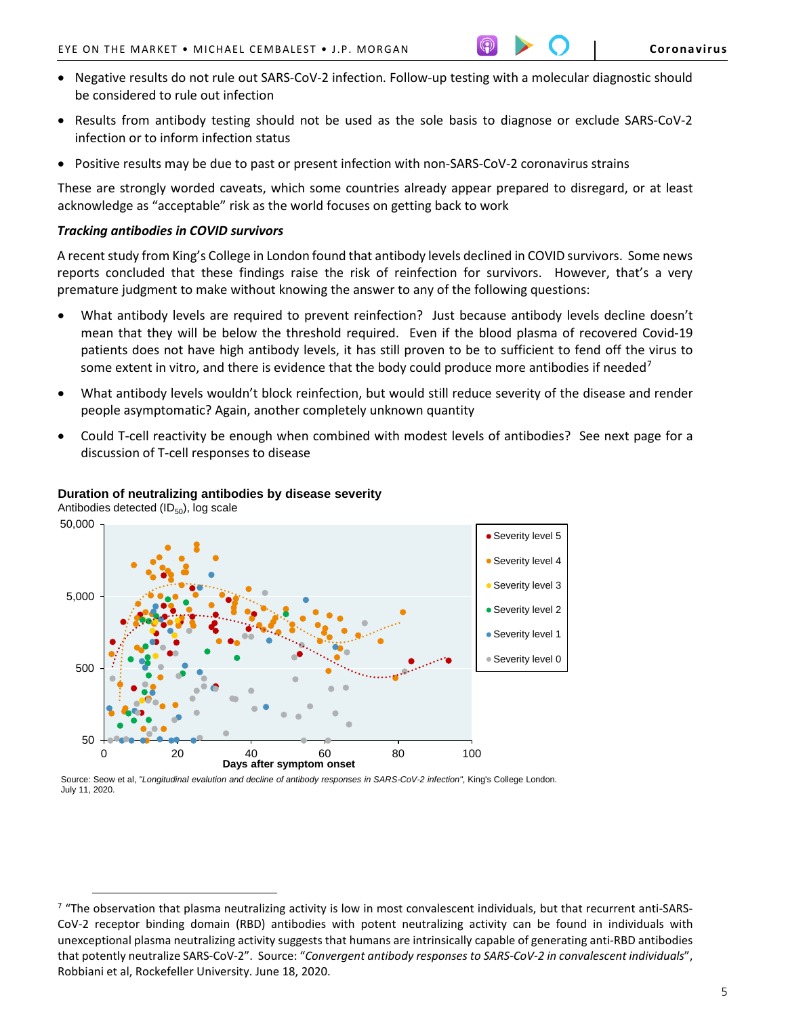- Negative results do not rule out SARS-CoV-2 infection. Follow-up testing with a molecular diagnostic should be considered to rule out infection
- Results from antibody testing should not be used as the sole basis to diagnose or exclude SARS-CoV-2 infection or to inform infection status
- Positive results may be due to past or present infection with non-SARS-CoV-2 coronavirus strains

These are strongly worded caveats, which some countries already appear prepared to disregard, or at least acknowledge as "acceptable" risk as the world focuses on getting back to work

#### *Tracking antibodies in COVID survivors*

A recent study from King's College in London found that antibody levels declined in COVID survivors. Some news reports concluded that these findings raise the risk of reinfection for survivors. However, that's a very premature judgment to make without knowing the answer to any of the following questions:

- What antibody levels are required to prevent reinfection? Just because antibody levels decline doesn't mean that they will be below the threshold required. Even if the blood plasma of recovered Covid-19 patients does not have high antibody levels, it has still proven to be to sufficient to fend off the virus to some extent in vitro, and there is evidence that the body could produce more antibodies if needed<sup>[7](#page-4-0)</sup>
- What antibody levels wouldn't block reinfection, but would still reduce severity of the disease and render people asymptomatic? Again, another completely unknown quantity
- Could T-cell reactivity be enough when combined with modest levels of antibodies? See next page for a discussion of T-cell responses to disease



# **Duration of neutralizing antibodies by disease severity**

 $\overline{a}$ 

Source: Seow et al, *"Longitudinal evalution and decline of antibody responses in SARS-CoV-2 infection"*, King's College London. July 11, 2020.

<span id="page-4-0"></span> $7$  "The observation that plasma neutralizing activity is low in most convalescent individuals, but that recurrent anti-SARS-CoV-2 receptor binding domain (RBD) antibodies with potent neutralizing activity can be found in individuals with unexceptional plasma neutralizing activity suggests that humans are intrinsically capable of generating anti-RBD antibodies that potently neutralize SARS-CoV-2". Source: "*Convergent antibody responses to SARS-CoV-2 in convalescent individuals*", Robbiani et al, Rockefeller University. June 18, 2020.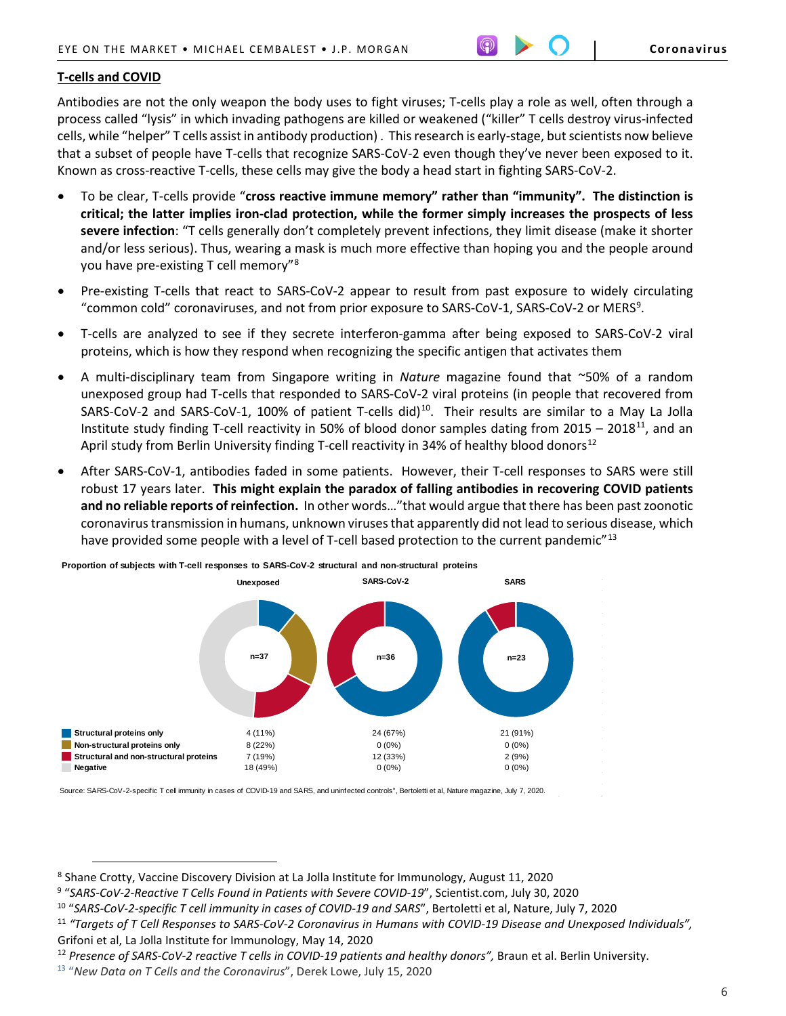# **T-cells and COVID**

 $\overline{a}$ 

Antibodies are not the only weapon the body uses to fight viruses; T-cells play a role as well, often through a process called "lysis" in which invading pathogens are killed or weakened ("killer" T cells destroy virus-infected cells, while "helper" T cells assist in antibody production) . This research is early-stage, but scientists now believe that a subset of people have T-cells that recognize SARS-CoV-2 even though they've never been exposed to it. Known as cross-reactive T-cells, these cells may give the body a head start in fighting SARS-CoV-2.

- To be clear, T-cells provide "**cross reactive immune memory" rather than "immunity". The distinction is critical; the latter implies iron-clad protection, while the former simply increases the prospects of less severe infection**: "T cells generally don't completely prevent infections, they limit disease (make it shorter and/or less serious). Thus, wearing a mask is much more effective than hoping you and the people around you have pre-existing T cell memory"[8](#page-5-0)
- Pre-existing T-cells that react to SARS-CoV-2 appear to result from past exposure to widely circulating "common cold" coronaviruses, and not from prior exposure to SARS-CoV-1, SARS-CoV-2 or MERS<sup>[9](#page-5-1)</sup>.
- T-cells are analyzed to see if they secrete interferon-gamma after being exposed to SARS-CoV-2 viral proteins, which is how they respond when recognizing the specific antigen that activates them
- A multi-disciplinary team from Singapore writing in *Nature* magazine found that ~50% of a random unexposed group had T-cells that responded to SARS-CoV-2 viral proteins (in people that recovered from SARS-CoV-2 and SARS-CoV-1, [10](#page-5-2)0% of patient T-cells did)<sup>10</sup>. Their results are similar to a May La Jolla Institute study finding T-cell reactivity in 50% of blood donor samples dating from  $2015 - 2018^{11}$ , and an April study from Berlin University finding T-cell reactivity in 34% of healthy blood donors<sup>[12](#page-5-4)</sup>
- After SARS-CoV-1, antibodies faded in some patients. However, their T-cell responses to SARS were still robust 17 years later. **This might explain the paradox of falling antibodies in recovering COVID patients and no reliable reports of reinfection.** In other words…"that would argue that there has been past zoonotic coronavirus transmission in humans, unknown viruses that apparently did not lead to serious disease, which have provided some people with a level of T-cell based protection to the current pandemic"<sup>13</sup>



**Proportion of subjects with T-cell responses to SARS-CoV-2 structural and non-structural proteins**

Source: SARS-CoV-2-specific T cell immunity in cases of COVID-19 and SARS, and uninfected controls", Bertoletti et al, Nature magazine, July 7, 2020.

<span id="page-5-0"></span><sup>8</sup> Shane Crotty, Vaccine Discovery Division at La Jolla Institute for Immunology, August 11, 2020

<span id="page-5-1"></span><sup>9</sup> "*SARS-CoV-2-Reactive T Cells Found in Patients with Severe COVID-19*", Scientist.com, July 30, 2020

<span id="page-5-2"></span><sup>10</sup> "*SARS-CoV-2-specific T cell immunity in cases of COVID-19 and SARS*", Bertoletti et al, Nature, July 7, 2020

<span id="page-5-3"></span><sup>11</sup> *"Targets of T Cell Responses to SARS-CoV-2 Coronavirus in Humans with COVID-19 Disease and Unexposed Individuals",*  Grifoni et al, La Jolla Institute for Immunology, May 14, 2020

<span id="page-5-4"></span><sup>&</sup>lt;sup>12</sup> Presence of SARS-CoV-2 reactive T cells in COVID-19 patients and healthy donors", Braun et al. Berlin University.

<span id="page-5-5"></span><sup>13</sup> "*New Data on T Cells and the Coronavirus*", Derek Lowe, July 15, 2020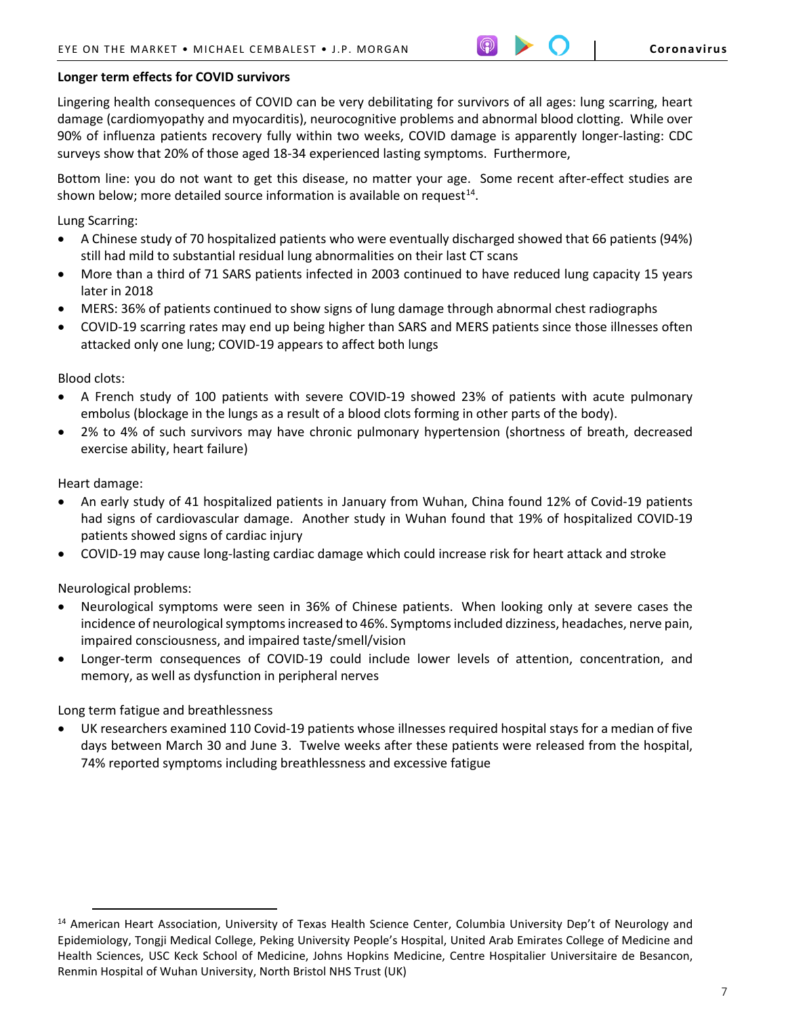# **Longer term effects for COVID survivors**

Lingering health consequences of COVID can be very debilitating for survivors of all ages: lung scarring, heart damage (cardiomyopathy and myocarditis), neurocognitive problems and abnormal blood clotting. While over 90% of influenza patients recovery fully within two weeks, COVID damage is apparently longer-lasting: CDC surveys show that 20% of those aged 18-34 experienced lasting symptoms. Furthermore,

Bottom line: you do not want to get this disease, no matter your age. Some recent after-effect studies are shown below; more detailed source information is available on request<sup>[14](#page-6-0)</sup>.

Lung Scarring:

- A Chinese study of 70 hospitalized patients who were eventually discharged showed that 66 patients (94%) still had mild to substantial residual lung abnormalities on their last CT scans
- More than a third of 71 SARS patients infected in 2003 continued to have reduced lung capacity 15 years later in 2018
- MERS: 36% of patients continued to show signs of lung damage through abnormal chest radiographs
- COVID-19 scarring rates may end up being higher than SARS and MERS patients since those illnesses often attacked only one lung; COVID-19 appears to affect both lungs

Blood clots:

- A French study of 100 patients with severe COVID-19 showed 23% of patients with acute pulmonary embolus (blockage in the lungs as a result of a blood clots forming in other parts of the body).
- 2% to 4% of such survivors may have chronic pulmonary hypertension (shortness of breath, decreased exercise ability, heart failure)

Heart damage:

 $\overline{a}$ 

- An early study of 41 hospitalized patients in January from Wuhan, China found 12% of Covid-19 patients had signs of cardiovascular damage. Another study in Wuhan found that 19% of hospitalized COVID-19 patients showed signs of cardiac injury
- COVID-19 may cause long-lasting cardiac damage which could increase risk for heart attack and stroke

Neurological problems:

- Neurological symptoms were seen in 36% of Chinese patients. When looking only at severe cases the incidence of neurological symptoms increased to 46%. Symptoms included dizziness, headaches, nerve pain, impaired consciousness, and impaired taste/smell/vision
- Longer-term consequences of COVID-19 could include lower levels of attention, concentration, and memory, as well as dysfunction in peripheral nerves

Long term fatigue and breathlessness

• UK researchers examined 110 Covid-19 patients whose illnesses required hospital stays for a median of five days between March 30 and June 3. Twelve weeks after these patients were released from the hospital, 74% reported symptoms including breathlessness and excessive fatigue

<span id="page-6-0"></span> $14$  American Heart Association, University of Texas Health Science Center, Columbia University Dep't of Neurology and Epidemiology, Tongji Medical College, Peking University People's Hospital, United Arab Emirates College of Medicine and Health Sciences, USC Keck School of Medicine, Johns Hopkins Medicine, Centre Hospitalier Universitaire de Besancon, Renmin Hospital of Wuhan University, North Bristol NHS Trust (UK)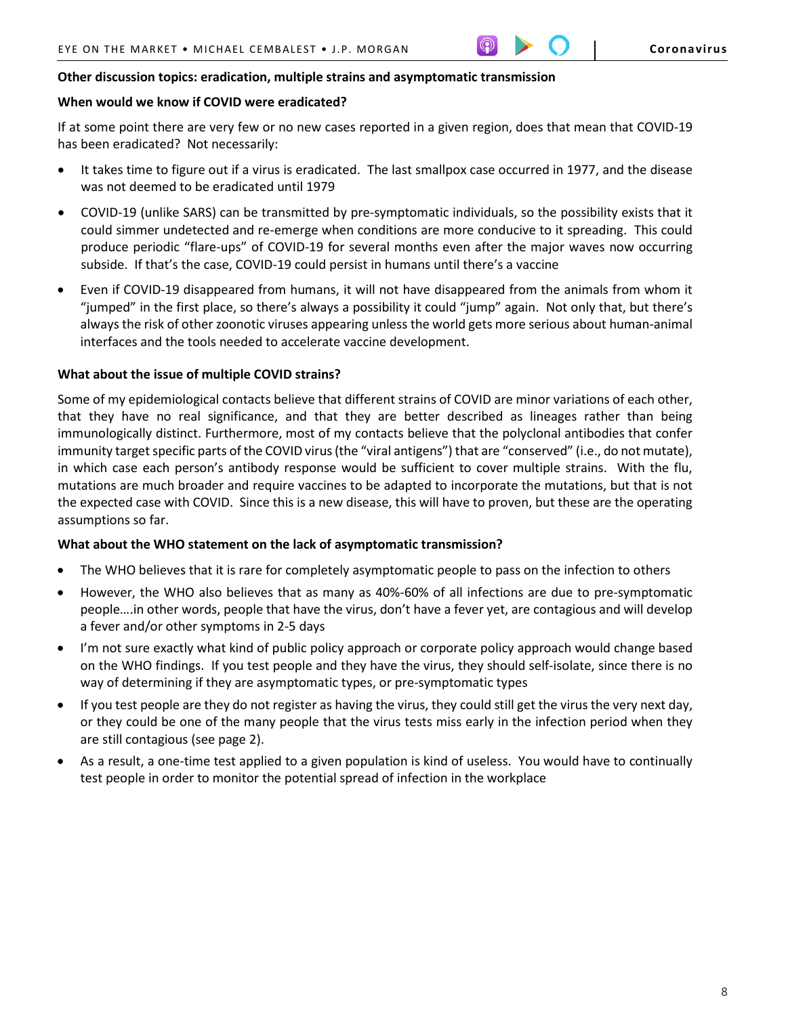## **Other discussion topics: eradication, multiple strains and asymptomatic transmission**

# **When would we know if COVID were eradicated?**

If at some point there are very few or no new cases reported in a given region, does that mean that COVID-19 has been eradicated? Not necessarily:

- It takes time to figure out if a virus is eradicated. The last smallpox case occurred in 1977, and the disease was not deemed to be eradicated until 1979
- COVID-19 (unlike SARS) can be transmitted by pre-symptomatic individuals, so the possibility exists that it could simmer undetected and re-emerge when conditions are more conducive to it spreading. This could produce periodic "flare-ups" of COVID-19 for several months even after the major waves now occurring subside. If that's the case, COVID-19 could persist in humans until there's a vaccine
- Even if COVID-19 disappeared from humans, it will not have disappeared from the animals from whom it "jumped" in the first place, so there's always a possibility it could "jump" again. Not only that, but there's always the risk of other zoonotic viruses appearing unless the world gets more serious about human-animal interfaces and the tools needed to accelerate vaccine development.

# **What about the issue of multiple COVID strains?**

Some of my epidemiological contacts believe that different strains of COVID are minor variations of each other, that they have no real significance, and that they are better described as lineages rather than being immunologically distinct. Furthermore, most of my contacts believe that the polyclonal antibodies that confer immunity target specific parts of the COVID virus (the "viral antigens") that are "conserved" (i.e., do not mutate), in which case each person's antibody response would be sufficient to cover multiple strains. With the flu, mutations are much broader and require vaccines to be adapted to incorporate the mutations, but that is not the expected case with COVID. Since this is a new disease, this will have to proven, but these are the operating assumptions so far.

#### **What about the WHO statement on the lack of asymptomatic transmission?**

- The WHO believes that it is rare for completely asymptomatic people to pass on the infection to others
- However, the WHO also believes that as many as 40%-60% of all infections are due to pre-symptomatic people….in other words, people that have the virus, don't have a fever yet, are contagious and will develop a fever and/or other symptoms in 2-5 days
- I'm not sure exactly what kind of public policy approach or corporate policy approach would change based on the WHO findings. If you test people and they have the virus, they should self-isolate, since there is no way of determining if they are asymptomatic types, or pre-symptomatic types
- If you test people are they do not register as having the virus, they could still get the virus the very next day, or they could be one of the many people that the virus tests miss early in the infection period when they are still contagious (see page 2).
- As a result, a one-time test applied to a given population is kind of useless. You would have to continually test people in order to monitor the potential spread of infection in the workplace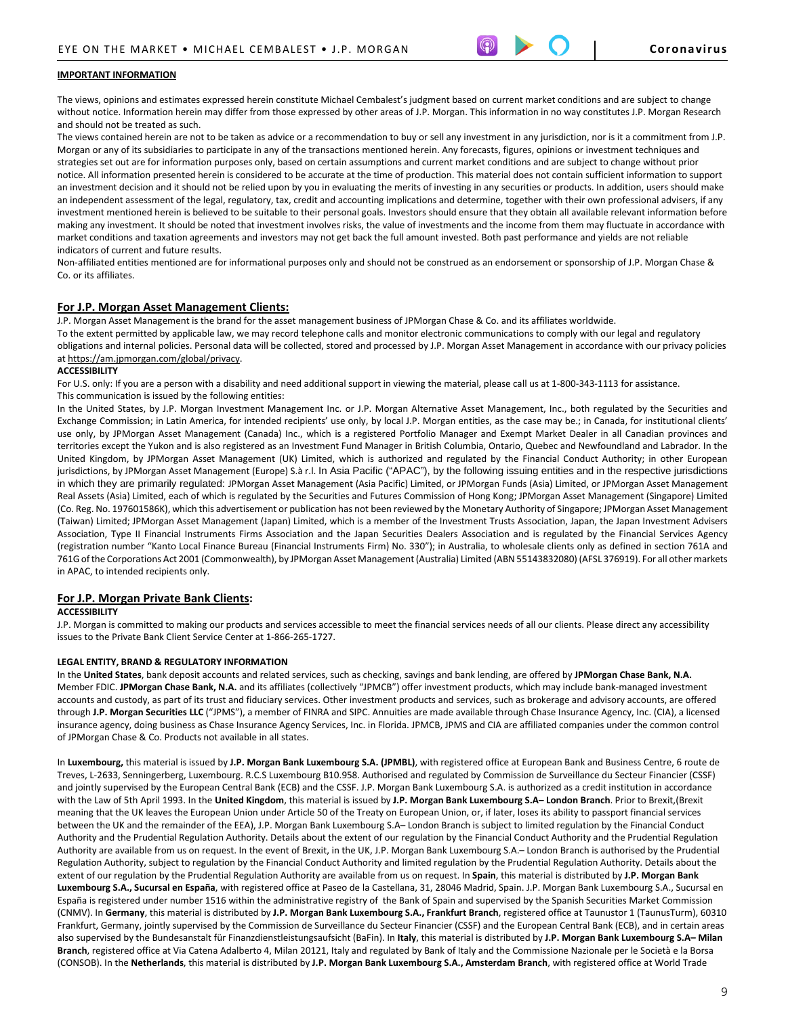#### **IMPORTANT INFORMATION**

The views, opinions and estimates expressed herein constitute Michael Cembalest's judgment based on current market conditions and are subject to change without notice. Information herein may differ from those expressed by other areas of J.P. Morgan. This information in no way constitutes J.P. Morgan Research and should not be treated as such.

The views contained herein are not to be taken as advice or a recommendation to buy or sell any investment in any jurisdiction, nor is it a commitment from J.P. Morgan or any of its subsidiaries to participate in any of the transactions mentioned herein. Any forecasts, figures, opinions or investment techniques and strategies set out are for information purposes only, based on certain assumptions and current market conditions and are subject to change without prior notice. All information presented herein is considered to be accurate at the time of production. This material does not contain sufficient information to support an investment decision and it should not be relied upon by you in evaluating the merits of investing in any securities or products. In addition, users should make an independent assessment of the legal, regulatory, tax, credit and accounting implications and determine, together with their own professional advisers, if any investment mentioned herein is believed to be suitable to their personal goals. Investors should ensure that they obtain all available relevant information before making any investment. It should be noted that investment involves risks, the value of investments and the income from them may fluctuate in accordance with market conditions and taxation agreements and investors may not get back the full amount invested. Both past performance and yields are not reliable indicators of current and future results.

Non-affiliated entities mentioned are for informational purposes only and should not be construed as an endorsement or sponsorship of J.P. Morgan Chase & Co. or its affiliates.

#### **For J.P. Morgan Asset Management Clients:**

J.P. Morgan Asset Management is the brand for the asset management business of JPMorgan Chase & Co. and its affiliates worldwide.

To the extent permitted by applicable law, we may record telephone calls and monitor electronic communications to comply with our legal and regulatory obligations and internal policies. Personal data will be collected, stored and processed by J.P. Morgan Asset Management in accordance with our privacy policies a[t https://am.jpmorgan.com/global/privacy.](https://am.jpmorgan.com/global/privacy)

#### **ACCESSIBILITY**

For U.S. only: If you are a person with a disability and need additional support in viewing the material, please call us at 1-800-343-1113 for assistance. This communication is issued by the following entities:

In the United States, by J.P. Morgan Investment Management Inc. or J.P. Morgan Alternative Asset Management, Inc., both regulated by the Securities and Exchange Commission; in Latin America, for intended recipients' use only, by local J.P. Morgan entities, as the case may be.; in Canada, for institutional clients' use only, by JPMorgan Asset Management (Canada) Inc., which is a registered Portfolio Manager and Exempt Market Dealer in all Canadian provinces and territories except the Yukon and is also registered as an Investment Fund Manager in British Columbia, Ontario, Quebec and Newfoundland and Labrador. In the United Kingdom, by JPMorgan Asset Management (UK) Limited, which is authorized and regulated by the Financial Conduct Authority; in other European jurisdictions, by JPMorgan Asset Management (Europe) S.à r.l. In Asia Pacific ("APAC"), by the following issuing entities and in the respective jurisdictions in which they are primarily regulated: JPMorgan Asset Management (Asia Pacific) Limited, or JPMorgan Funds (Asia) Limited, or JPMorgan Asset Management Real Assets (Asia) Limited, each of which is regulated by the Securities and Futures Commission of Hong Kong; JPMorgan Asset Management (Singapore) Limited (Co. Reg. No. 197601586K), which this advertisement or publication has not been reviewed by the Monetary Authority of Singapore; JPMorgan Asset Management (Taiwan) Limited; JPMorgan Asset Management (Japan) Limited, which is a member of the Investment Trusts Association, Japan, the Japan Investment Advisers Association, Type II Financial Instruments Firms Association and the Japan Securities Dealers Association and is regulated by the Financial Services Agency (registration number "Kanto Local Finance Bureau (Financial Instruments Firm) No. 330"); in Australia, to wholesale clients only as defined in section 761A and 761G of the Corporations Act 2001 (Commonwealth), by JPMorgan Asset Management (Australia) Limited (ABN 55143832080) (AFSL 376919). For all other markets in APAC, to intended recipients only.

#### **For J.P. Morgan Private Bank Clients:**

#### **ACCESSIBILITY**

J.P. Morgan is committed to making our products and services accessible to meet the financial services needs of all our clients. Please direct any accessibility issues to the Private Bank Client Service Center at 1-866-265-1727.

#### **LEGAL ENTITY, BRAND & REGULATORY INFORMATION**

In the **United States**, bank deposit accounts and related services, such as checking, savings and bank lending, are offered by **JPMorgan Chase Bank, N.A.**  Member FDIC. **JPMorgan Chase Bank, N.A.** and its affiliates (collectively "JPMCB") offer investment products, which may include bank-managed investment accounts and custody, as part of its trust and fiduciary services. Other investment products and services, such as brokerage and advisory accounts, are offered through **J.P. Morgan Securities LLC** ("JPMS"), a member of FINRA and SIPC. Annuities are made available through Chase Insurance Agency, Inc. (CIA), a licensed insurance agency, doing business as Chase Insurance Agency Services, Inc. in Florida. JPMCB, JPMS and CIA are affiliated companies under the common control of JPMorgan Chase & Co. Products not available in all states.

In **Luxembourg,** this material is issued by **J.P. Morgan Bank Luxembourg S.A. (JPMBL)**, with registered office at European Bank and Business Centre, 6 route de Treves, L-2633, Senningerberg, Luxembourg. R.C.S Luxembourg B10.958. Authorised and regulated by Commission de Surveillance du Secteur Financier (CSSF) and jointly supervised by the European Central Bank (ECB) and the CSSF. J.P. Morgan Bank Luxembourg S.A. is authorized as a credit institution in accordance with the Law of 5th April 1993. In the **United Kingdom**, this material is issued by **J.P. Morgan Bank Luxembourg S.A– London Branch**. Prior to Brexit,(Brexit meaning that the UK leaves the European Union under Article 50 of the Treaty on European Union, or, if later, loses its ability to passport financial services between the UK and the remainder of the EEA), J.P. Morgan Bank Luxembourg S.A– London Branch is subject to limited regulation by the Financial Conduct Authority and the Prudential Regulation Authority. Details about the extent of our regulation by the Financial Conduct Authority and the Prudential Regulation Authority are available from us on request. In the event of Brexit, in the UK, J.P. Morgan Bank Luxembourg S.A.– London Branch is authorised by the Prudential Regulation Authority, subject to regulation by the Financial Conduct Authority and limited regulation by the Prudential Regulation Authority. Details about the extent of our regulation by the Prudential Regulation Authority are available from us on request. In **Spain**, this material is distributed by **J.P. Morgan Bank Luxembourg S.A., Sucursal en España**, with registered office at Paseo de la Castellana, 31, 28046 Madrid, Spain. J.P. Morgan Bank Luxembourg S.A., Sucursal en España is registered under number 1516 within the administrative registry of the Bank of Spain and supervised by the Spanish Securities Market Commission (CNMV). In **Germany**, this material is distributed by **J.P. Morgan Bank Luxembourg S.A., Frankfurt Branch**, registered office at Taunustor 1 (TaunusTurm), 60310 Frankfurt, Germany, jointly supervised by the Commission de Surveillance du Secteur Financier (CSSF) and the European Central Bank (ECB), and in certain areas also supervised by the Bundesanstalt für Finanzdienstleistungsaufsicht (BaFin). In **Italy**, this material is distributed by **J.P. Morgan Bank Luxembourg S.A– Milan Branch**, registered office at Via Catena Adalberto 4, Milan 20121, Italy and regulated by Bank of Italy and the Commissione Nazionale per le Società e la Borsa (CONSOB). In the **Netherlands**, this material is distributed by **J.P. Morgan Bank Luxembourg S.A., Amsterdam Branch**, with registered office at World Trade